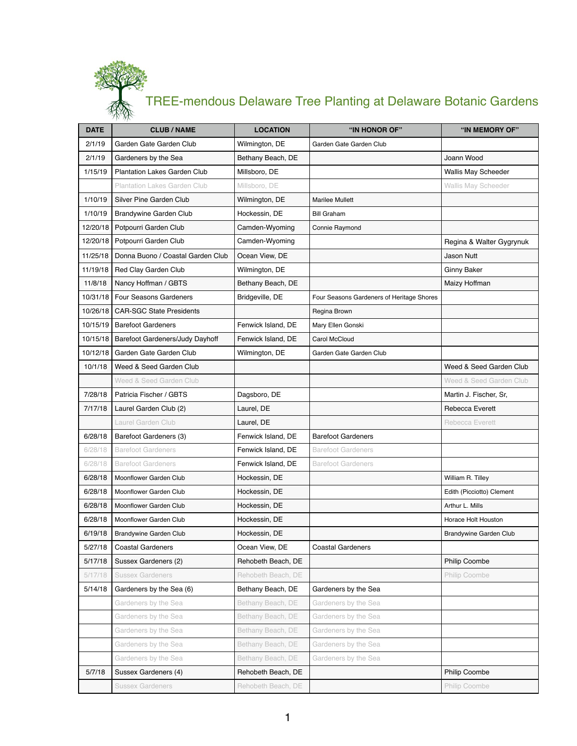## TREE-mendous Delaware Tree Planting at Delaware Botanic Gardens

| <b>DATE</b> | 1.771<br><b>CLUB/NAME</b>              | <b>LOCATION</b>    | "IN HONOR OF"                             | "IN MEMORY OF"                |
|-------------|----------------------------------------|--------------------|-------------------------------------------|-------------------------------|
| 2/1/19      | Garden Gate Garden Club                | Wilmington, DE     | Garden Gate Garden Club                   |                               |
| 2/1/19      | Gardeners by the Sea                   | Bethany Beach, DE  |                                           | Joann Wood                    |
| 1/15/19     | <b>Plantation Lakes Garden Club</b>    | Millsboro, DE      |                                           | <b>Wallis May Scheeder</b>    |
|             | <b>Plantation Lakes Garden Club</b>    | Millsboro, DE      |                                           | <b>Wallis May Scheeder</b>    |
| 1/10/19     | Silver Pine Garden Club                | Wilmington, DE     | <b>Marilee Mullett</b>                    |                               |
| 1/10/19     | <b>Brandywine Garden Club</b>          | Hockessin, DE      | <b>Bill Graham</b>                        |                               |
| 12/20/18    | Potpourri Garden Club                  | Camden-Wyoming     | Connie Raymond                            |                               |
| 12/20/18    | Potpourri Garden Club                  | Camden-Wyoming     |                                           | Regina & Walter Gygrynuk      |
| 11/25/18    | Donna Buono / Coastal Garden Club      | Ocean View, DE     |                                           | <b>Jason Nutt</b>             |
| 11/19/18    | Red Clay Garden Club                   | Wilmington, DE     |                                           | <b>Ginny Baker</b>            |
| 11/8/18     | Nancy Hoffman / GBTS                   | Bethany Beach, DE  |                                           | Maizy Hoffman                 |
| 10/31/18    | <b>Four Seasons Gardeners</b>          | Bridgeville, DE    | Four Seasons Gardeners of Heritage Shores |                               |
| 10/26/18    | <b>CAR-SGC State Presidents</b>        |                    | Regina Brown                              |                               |
| 10/15/19    | <b>Barefoot Gardeners</b>              | Fenwick Island, DE | Mary Ellen Gonski                         |                               |
| 10/15/18    | <b>Barefoot Gardeners/Judy Dayhoff</b> | Fenwick Island, DE | Carol McCloud                             |                               |
| 10/12/18    | Garden Gate Garden Club                | Wilmington, DE     | Garden Gate Garden Club                   |                               |
| 10/1/18     | Weed & Seed Garden Club                |                    |                                           | Weed & Seed Garden Club       |
|             | <b>Weed &amp; Seed Garden Club</b>     |                    |                                           | Weed & Seed Garden Club       |
| 7/28/18     | Patricia Fischer / GBTS                | Dagsboro, DE       |                                           | Martin J. Fischer, Sr,        |
| 7/17/18     | Laurel Garden Club (2)                 | Laurel, DE         |                                           | Rebecca Everett               |
|             | Laurel Garden Club                     | Laurel, DE         |                                           | Rebecca Everett               |
| 6/28/18     | Barefoot Gardeners (3)                 | Fenwick Island, DE | <b>Barefoot Gardeners</b>                 |                               |
| 6/28/18     | <b>Barefoot Gardeners</b>              | Fenwick Island, DE | <b>Barefoot Gardeners</b>                 |                               |
| 6/28/18     | <b>Barefoot Gardeners</b>              | Fenwick Island, DE | <b>Barefoot Gardeners</b>                 |                               |
| 6/28/18     | Moonflower Garden Club                 | Hockessin, DE      |                                           | William R. Tilley             |
| 6/28/18     | Moonflower Garden Club                 | Hockessin, DE      |                                           | Edith (Picciotto) Clement     |
| 6/28/18     | Moonflower Garden Club                 | Hockessin, DE      |                                           | Arthur L. Mills               |
| 6/28/18     | Moonflower Garden Club                 | Hockessin, DE      |                                           | Horace Holt Houston           |
| 6/19/18     | <b>Brandywine Garden Club</b>          | Hockessin, DE      |                                           | <b>Brandywine Garden Club</b> |
| 5/27/18     | <b>Coastal Gardeners</b>               | Ocean View, DE     | <b>Coastal Gardeners</b>                  |                               |
| 5/17/18     | Sussex Gardeners (2)                   | Rehobeth Beach, DE |                                           | <b>Philip Coombe</b>          |
| 5/17/18     | <b>Sussex Gardeners</b>                | Rehobeth Beach, DE |                                           | Philip Coombe                 |
| 5/14/18     | Gardeners by the Sea (6)               | Bethany Beach, DE  | Gardeners by the Sea                      |                               |
|             | Gardeners by the Sea                   | Bethany Beach, DE  | Gardeners by the Sea                      |                               |
|             | Gardeners by the Sea                   | Bethany Beach, DE  | Gardeners by the Sea                      |                               |
|             | Gardeners by the Sea                   | Bethany Beach, DE  | Gardeners by the Sea                      |                               |
|             | Gardeners by the Sea                   | Bethany Beach, DE  | Gardeners by the Sea                      |                               |
|             | Gardeners by the Sea                   | Bethany Beach, DE  | Gardeners by the Sea                      |                               |
| 5/7/18      | Sussex Gardeners (4)                   | Rehobeth Beach, DE |                                           | <b>Philip Coombe</b>          |
|             | <b>Sussex Gardeners</b>                | Rehobeth Beach, DE |                                           | Philip Coombe                 |

1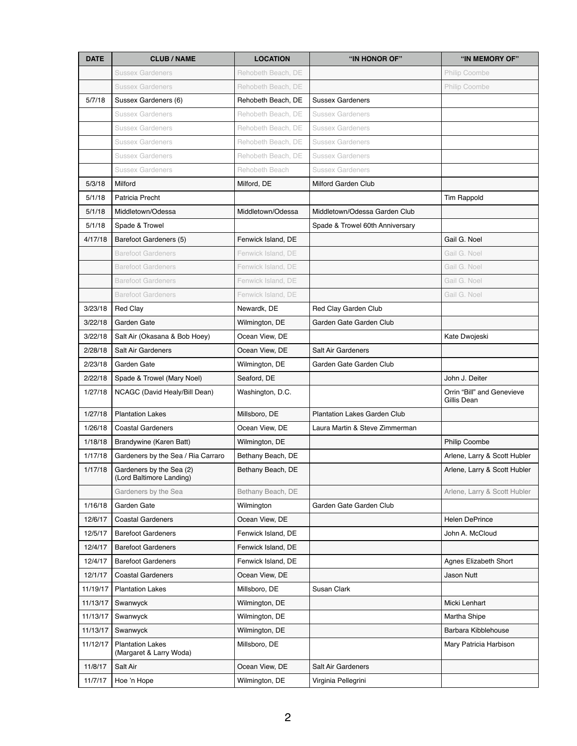| <b>DATE</b> | <b>CLUB/NAME</b>                                     | <b>LOCATION</b>    | "IN HONOR OF"                       | "IN MEMORY OF"                            |
|-------------|------------------------------------------------------|--------------------|-------------------------------------|-------------------------------------------|
|             | <b>Sussex Gardeners</b>                              | Rehobeth Beach, DE |                                     | Philip Coombe                             |
|             | <b>Sussex Gardeners</b>                              | Rehobeth Beach, DE |                                     | Philip Coombe                             |
| 5/7/18      | Sussex Gardeners (6)                                 | Rehobeth Beach, DE | <b>Sussex Gardeners</b>             |                                           |
|             | <b>Sussex Gardeners</b>                              | Rehobeth Beach, DE | <b>Sussex Gardeners</b>             |                                           |
|             | <b>Sussex Gardeners</b>                              | Rehobeth Beach, DE | <b>Sussex Gardeners</b>             |                                           |
|             | <b>Sussex Gardeners</b>                              | Rehobeth Beach, DE | <b>Sussex Gardeners</b>             |                                           |
|             | <b>Sussex Gardeners</b>                              | Rehobeth Beach, DE | <b>Sussex Gardeners</b>             |                                           |
|             | <b>Sussex Gardeners</b>                              | Rehobeth Beach     | <b>Sussex Gardeners</b>             |                                           |
| 5/3/18      | Milford                                              | Milford, DE        | <b>Milford Garden Club</b>          |                                           |
| 5/1/18      | Patricia Precht                                      |                    |                                     | <b>Tim Rappold</b>                        |
| 5/1/18      | Middletown/Odessa                                    | Middletown/Odessa  | Middletown/Odessa Garden Club       |                                           |
| 5/1/18      | Spade & Trowel                                       |                    | Spade & Trowel 60th Anniversary     |                                           |
| 4/17/18     | Barefoot Gardeners (5)                               | Fenwick Island, DE |                                     | Gail G. Noel                              |
|             | <b>Barefoot Gardeners</b>                            | Fenwick Island, DE |                                     | Gail G. Noel                              |
|             | <b>Barefoot Gardeners</b>                            | Fenwick Island, DE |                                     | Gail G. Noel                              |
|             | <b>Barefoot Gardeners</b>                            | Fenwick Island, DE |                                     | Gail G. Noel                              |
|             | <b>Barefoot Gardeners</b>                            | Fenwick Island, DE |                                     | Gail G. Noel                              |
| 3/23/18     | <b>Red Clay</b>                                      | Newardk, DE        | Red Clay Garden Club                |                                           |
| 3/22/18     | Garden Gate                                          | Wilmington, DE     | Garden Gate Garden Club             |                                           |
| 3/22/18     | Salt Air (Okasana & Bob Hoey)                        | Ocean View, DE     |                                     | Kate Dwojeski                             |
| 2/28/18     | <b>Salt Air Gardeners</b>                            | Ocean View, DE     | <b>Salt Air Gardeners</b>           |                                           |
| 2/23/18     | Garden Gate                                          | Wilmington, DE     | Garden Gate Garden Club             |                                           |
| 2/22/18     | Spade & Trowel (Mary Noel)                           | Seaford, DE        |                                     | John J. Deiter                            |
| 1/27/18     | NCAGC (David Healy/Bill Dean)                        | Washington, D.C.   |                                     | Orrin "Bill" and Genevieve<br>Gillis Dean |
| 1/27/18     | <b>Plantation Lakes</b>                              | Millsboro, DE      | <b>Plantation Lakes Garden Club</b> |                                           |
| 1/26/18     | <b>Coastal Gardeners</b>                             | Ocean View, DE     | Laura Martin & Steve Zimmerman      |                                           |
| 1/18/18     | Brandywine (Karen Batt)                              | Wilmington, DE     |                                     | <b>Philip Coombe</b>                      |
| 1/17/18     | Gardeners by the Sea / Ria Carraro                   | Bethany Beach, DE  |                                     | Arlene, Larry & Scott Hubler              |
| 1/17/18     | Gardeners by the Sea (2)<br>(Lord Baltimore Landing) | Bethany Beach, DE  |                                     | Arlene, Larry & Scott Hubler              |
|             | Gardeners by the Sea                                 | Bethany Beach, DE  |                                     | Arlene, Larry & Scott Hubler              |
| 1/16/18     | Garden Gate                                          | Wilmington         | Garden Gate Garden Club             |                                           |
| 12/6/17     | <b>Coastal Gardeners</b>                             | Ocean View, DE     |                                     | <b>Helen DePrince</b>                     |
| 12/5/17     | <b>Barefoot Gardeners</b>                            | Fenwick Island, DE |                                     | John A. McCloud                           |
| 12/4/17     | <b>Barefoot Gardeners</b>                            | Fenwick Island, DE |                                     |                                           |
| 12/4/17     | <b>Barefoot Gardeners</b>                            | Fenwick Island, DE |                                     | <b>Agnes Elizabeth Short</b>              |
| 12/1/17     | <b>Coastal Gardeners</b>                             | Ocean View, DE     |                                     | <b>Jason Nutt</b>                         |
| 11/19/17    | <b>Plantation Lakes</b>                              | Millsboro, DE      | <b>Susan Clark</b>                  |                                           |
| 11/13/17    | Swanwyck                                             | Wilmington, DE     |                                     | Micki Lenhart                             |
| 11/13/17    | Swanwyck                                             | Wilmington, DE     |                                     | Martha Shipe                              |
| 11/13/17    | Swanwyck                                             | Wilmington, DE     |                                     | Barbara Kibblehouse                       |
| 11/12/17    | <b>Plantation Lakes</b><br>(Margaret & Larry Woda)   | Millsboro, DE      |                                     | Mary Patricia Harbison                    |
| 11/8/17     | Salt Air                                             | Ocean View, DE     | <b>Salt Air Gardeners</b>           |                                           |
| 11/7/17     | Hoe 'n Hope                                          | Wilmington, DE     | Virginia Pellegrini                 |                                           |